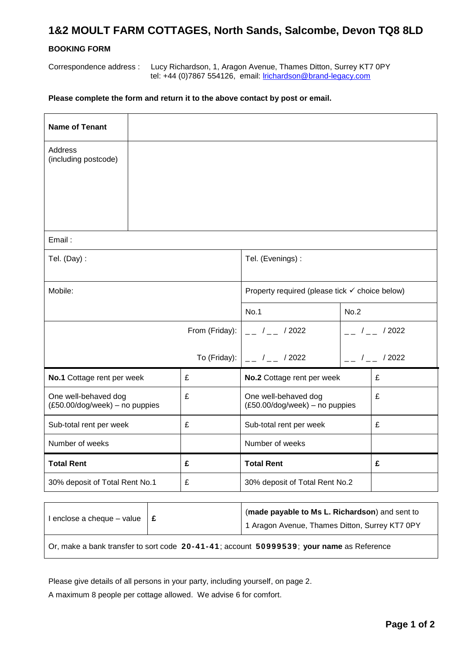## **1&2 MOULT FARM COTTAGES, North Sands, Salcombe, Devon TQ8 8LD**

## **BOOKING FORM**

Correspondence address : Lucy Richardson, 1, Aragon Avenue, Thames Ditton, Surrey KT7 0PY tel: +44 (0)7867 554126, email: [lrichardson@brand-legacy.com](mailto:lrichardson@brand-legacy.com)

## **Please complete the form and return it to the above contact by post or email.**

| <b>Name of Tenant</b>                                  |              |                                                           |                 |                  |
|--------------------------------------------------------|--------------|-----------------------------------------------------------|-----------------|------------------|
| Address<br>(including postcode)                        |              |                                                           |                 |                  |
|                                                        |              |                                                           |                 |                  |
|                                                        |              |                                                           |                 |                  |
| Email:                                                 |              |                                                           |                 |                  |
| Tel. (Day):                                            |              | Tel. (Evenings) :                                         |                 |                  |
|                                                        |              |                                                           |                 |                  |
| Mobile:                                                |              | Property required (please tick $\checkmark$ choice below) |                 |                  |
|                                                        |              | No.1                                                      | No.2            |                  |
| From (Friday):                                         |              | $ /$ $ /$ 2022                                            | $-$ / $-$ /2022 |                  |
|                                                        | To (Friday): | $/$ $/$ $/$ 2022                                          |                 | $/$ $/$ $/$ 2022 |
| No.1 Cottage rent per week                             | £            | No.2 Cottage rent per week                                |                 | £                |
| One well-behaved dog<br>(£50.00/dog/week) - no puppies | £            | One well-behaved dog<br>(£50.00/dog/week) - no puppies    |                 | £                |
| Sub-total rent per week                                | £            | Sub-total rent per week                                   |                 | £                |
| Number of weeks                                        |              | Number of weeks                                           |                 |                  |
| <b>Total Rent</b>                                      | £            | <b>Total Rent</b>                                         |                 | £                |
| 30% deposit of Total Rent No.1                         | £            | 30% deposit of Total Rent No.2                            |                 |                  |

| l enclose a cheque – value $\parallel \texttt{\pounds} \parallel$ | (made payable to Ms L. Richardson) and sent to<br>1 Aragon Avenue, Thames Ditton, Surrey KT7 0PY |
|-------------------------------------------------------------------|--------------------------------------------------------------------------------------------------|
|                                                                   | $\mid$ Or, make a bank transfer to sort code 20-41-41; account 50999539; your name as Reference  |

Please give details of all persons in your party, including yourself, on page 2.

A maximum 8 people per cottage allowed. We advise 6 for comfort.